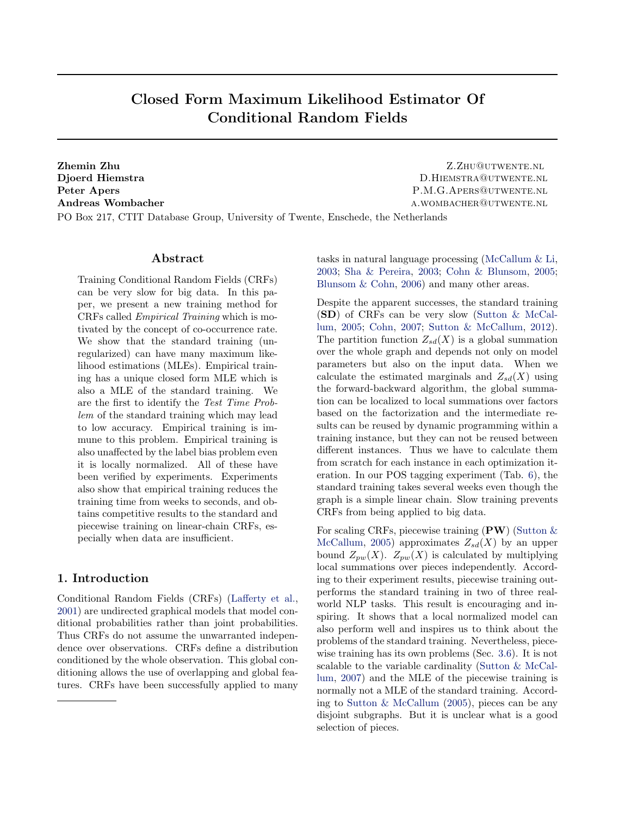# Closed Form Maximum Likelihood Estimator Of Conditional Random Fields

**Zhemin Zhu Z.Zhu@utwente.nl** Djoerd Hiemstra **D.HIEMSTRA@UTWENTE.NL** Peter Apers P.M.G.APERS@UTWENTE.NL Andreas Wombacher and all the settlements of the settlement of the settlement of the settlement of the settlement of the settlement of the settlement of the settlement of the settlement of the settlement of the settlement

PO Box 217, CTIT Database Group, University of Twente, Enschede, the Netherlands

## Abstract

Training Conditional Random Fields (CRFs) can be very slow for big data. In this paper, we present a new training method for CRFs called Empirical Training which is motivated by the concept of co-occurrence rate. We show that the standard training (unregularized) can have many maximum likelihood estimations (MLEs). Empirical training has a unique closed form MLE which is also a MLE of the standard training. We are the first to identify the Test Time Problem of the standard training which may lead to low accuracy. Empirical training is immune to this problem. Empirical training is also unaffected by the label bias problem even it is locally normalized. All of these have been verified by experiments. Experiments also show that empirical training reduces the training time from weeks to seconds, and obtains competitive results to the standard and piecewise training on linear-chain CRFs, especially when data are insufficient.

# 1. Introduction

Conditional Random Fields (CRFs) [\(Lafferty et al.,](#page-8-0) [2001\)](#page-8-0) are undirected graphical models that model conditional probabilities rather than joint probabilities. Thus CRFs do not assume the unwarranted independence over observations. CRFs define a distribution conditioned by the whole observation. This global conditioning allows the use of overlapping and global features. CRFs have been successfully applied to many tasks in natural language processing [\(McCallum & Li,](#page-8-0) [2003;](#page-8-0) [Sha & Pereira,](#page-8-0) [2003;](#page-8-0) [Cohn & Blunsom,](#page-8-0) [2005;](#page-8-0) [Blunsom & Cohn,](#page-8-0) [2006\)](#page-8-0) and many other areas.

Despite the apparent successes, the standard training (SD) of CRFs can be very slow [\(Sutton & McCal](#page-8-0)[lum,](#page-8-0) [2005;](#page-8-0) [Cohn,](#page-8-0) [2007;](#page-8-0) [Sutton & McCallum,](#page-8-0) [2012\)](#page-8-0). The partition function  $Z_{sd}(X)$  is a global summation over the whole graph and depends not only on model parameters but also on the input data. When we calculate the estimated marginals and  $Z_{sd}(X)$  using the forward-backward algorithm, the global summation can be localized to local summations over factors based on the factorization and the intermediate results can be reused by dynamic programming within a training instance, but they can not be reused between different instances. Thus we have to calculate them from scratch for each instance in each optimization iteration. In our POS tagging experiment (Tab. [6\)](#page-7-0), the standard training takes several weeks even though the graph is a simple linear chain. Slow training prevents CRFs from being applied to big data.

For scaling CRFs, piecewise training  $(PW)$  (Sutton  $\&$ [McCallum,](#page-8-0) [2005\)](#page-8-0) approximates  $Z_{sd}(X)$  by an upper bound  $Z_{pw}(X)$ .  $Z_{pw}(X)$  is calculated by multiplying local summations over pieces independently. According to their experiment results, piecewise training outperforms the standard training in two of three realworld NLP tasks. This result is encouraging and inspiring. It shows that a local normalized model can also perform well and inspires us to think about the problems of the standard training. Nevertheless, piecewise training has its own problems (Sec. [3.6\)](#page-4-0). It is not scalable to the variable cardinality [\(Sutton & McCal](#page-8-0)[lum,](#page-8-0) [2007\)](#page-8-0) and the MLE of the piecewise training is normally not a MLE of the standard training. According to [Sutton & McCallum](#page-8-0) [\(2005\)](#page-8-0), pieces can be any disjoint subgraphs. But it is unclear what is a good selection of pieces.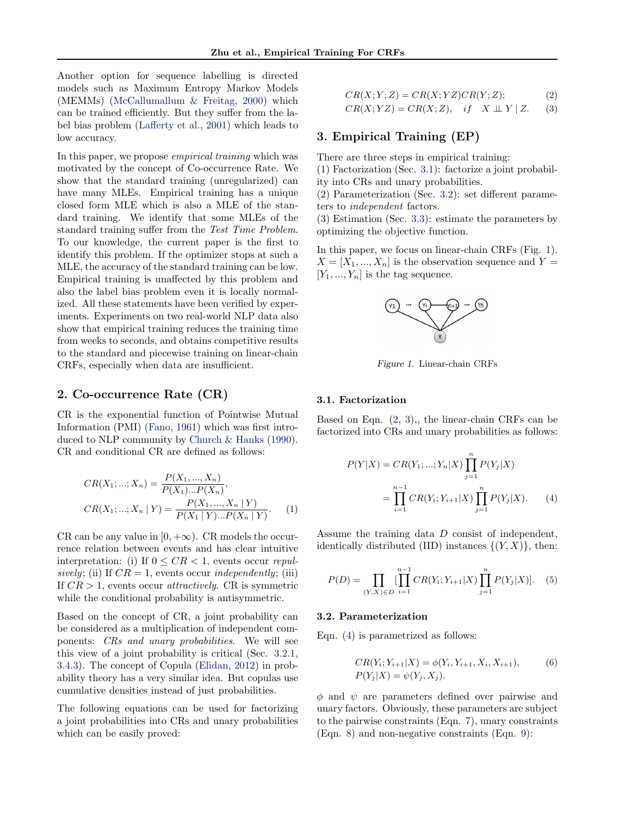<span id="page-1-0"></span>Another option for sequence labelling is directed models such as Maximum Entropy Markov Models (MEMMs) [\(McCallumallum & Freitag,](#page-8-0) [2000\)](#page-8-0) which can be trained efficiently. But they suffer from the label bias problem [\(Lafferty et al.,](#page-8-0) [2001\)](#page-8-0) which leads to low accuracy.

In this paper, we propose empirical training which was motivated by the concept of Co-occurrence Rate. We show that the standard training (unregularized) can have many MLEs. Empirical training has a unique closed form MLE which is also a MLE of the standard training. We identify that some MLEs of the standard training suffer from the Test Time Problem. To our knowledge, the current paper is the first to identify this problem. If the optimizer stops at such a MLE, the accuracy of the standard training can be low. Empirical training is unaffected by this problem and also the label bias problem even it is locally normalized. All these statements have been verified by experiments. Experiments on two real-world NLP data also show that empirical training reduces the training time from weeks to seconds, and obtains competitive results to the standard and piecewise training on linear-chain CRFs, especially when data are insufficient.

# 2. Co-occurrence Rate (CR)

CR is the exponential function of Pointwise Mutual Information (PMI) [\(Fano,](#page-8-0) [1961\)](#page-8-0) which was first introduced to NLP community by [Church & Hanks](#page-8-0) [\(1990\)](#page-8-0). CR and conditional CR are defined as follows:

$$
CR(X_1; ...; X_n) = \frac{P(X_1, ..., X_n)}{P(X_1)...P(X_n)},
$$
  
\n
$$
CR(X_1; ...; X_n | Y) = \frac{P(X_1, ..., X_n | Y)}{P(X_1 | Y)...P(X_n | Y)}.
$$
 (1)

CR can be any value in  $[0, +\infty)$ . CR models the occurrence relation between events and has clear intuitive interpretation: (i) If  $0 \leq CR < 1$ , events occur repulsively; (ii) If  $CR = 1$ , events occur independently; (iii) If  $CR > 1$ , events occur *attractively*. CR is symmetric while the conditional probability is antisymmetric.

Based on the concept of CR, a joint probability can be considered as a multiplication of independent components: CRs and unary probabilities. We will see this view of a joint probability is critical (Sec. [3.2.1,](#page-2-0) [3.4.3\)](#page-4-0). The concept of Copula [\(Elidan,](#page-8-0) [2012\)](#page-8-0) in probability theory has a very similar idea. But copulas use cumulative densities instead of just probabilities.

The following equations can be used for factorizing a joint probabilities into CRs and unary probabilities which can be easily proved:

$$
CR(X; Y; Z) = CR(X; YZ)CR(Y; Z); \tag{2}
$$
  

$$
CR(X; YZ) = CR(X; Z), \quad if \quad X \perp Y \mid Z. \tag{3}
$$

# 3. Empirical Training (EP)

There are three steps in empirical training:

(1) Factorization (Sec. 3.1): factorize a joint probability into CRs and unary probabilities.

(2) Parameterization (Sec. 3.2): set different parameters to independent factors.

(3) Estimation (Sec. [3.3\)](#page-2-0): estimate the parameters by optimizing the objective function.

In this paper, we focus on linear-chain CRFs (Fig. 1).  $X = [X_1, ..., X_n]$  is the observation sequence and Y =  $[Y_1, ..., Y_n]$  is the tag sequence.



Figure 1. Linear-chain CRFs

#### 3.1. Factorization

Based on Eqn.  $(2, 3)$ ,, the linear-chain CRFs can be factorized into CRs and unary probabilities as follows:

$$
P(Y|X) = CR(Y_1; ...; Y_n|X) \prod_{j=1}^n P(Y_j|X)
$$
  
= 
$$
\prod_{i=1}^{n-1} CR(Y_i; Y_{i+1}|X) \prod_{j=1}^n P(Y_j|X).
$$
 (4)

Assume the training data D consist of independent, identically distributed (IID) instances  $\{(Y, X)\}\$ , then:

$$
P(D) = \prod_{(Y,X)\in D} \prod_{i=1}^{n-1} CR(Y_i; Y_{i+1}|X) \prod_{j=1}^{n} P(Y_j|X)].
$$
 (5)

#### 3.2. Parameterization

Eqn. (4) is parametrized as follows:

$$
CR(Y_i; Y_{i+1}|X) = \phi(Y_i, Y_{i+1}, X_i, X_{i+1}),
$$
  
\n
$$
P(Y_j|X) = \psi(Y_j, X_j).
$$
\n(6)

 $\phi$  and  $\psi$  are parameters defined over pairwise and unary factors. Obviously, these parameters are subject to the pairwise constraints (Eqn. [7\)](#page-2-0), unary constraints (Eqn. [8\)](#page-2-0) and non-negative constraints (Eqn. [9\)](#page-2-0):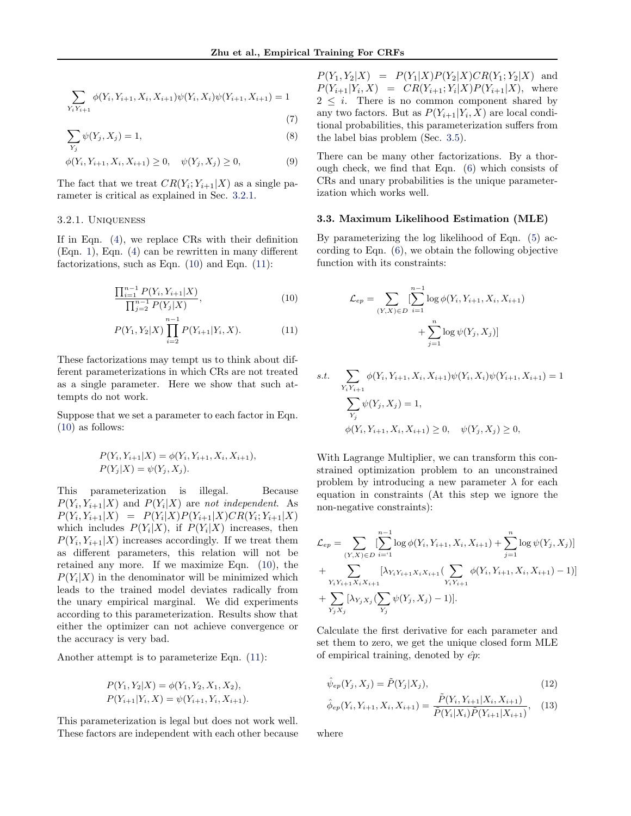<span id="page-2-0"></span>
$$
\sum_{Y_i Y_{i+1}} \phi(Y_i, Y_{i+1}, X_i, X_{i+1}) \psi(Y_i, X_i) \psi(Y_{i+1}, X_{i+1}) = 1
$$
\n(7)

$$
\sum_{Y_j} \psi(Y_j, X_j) = 1,\tag{8}
$$

$$
\phi(Y_i, Y_{i+1}, X_i, X_{i+1}) \ge 0, \quad \psi(Y_j, X_j) \ge 0,
$$
\n(9)

The fact that we treat  $CR(Y_i; Y_{i+1}|X)$  as a single parameter is critical as explained in Sec. 3.2.1.

#### 3.2.1. Uniqueness

If in Eqn. [\(4\)](#page-1-0), we replace CRs with their definition (Eqn. [1\)](#page-1-0), Eqn. [\(4\)](#page-1-0) can be rewritten in many different factorizations, such as Eqn. (10) and Eqn. (11):

$$
\frac{\prod_{i=1}^{n-1} P(Y_i, Y_{i+1}|X)}{\prod_{j=2}^{n-1} P(Y_j|X)},
$$
\n(10)

$$
P(Y_1, Y_2 | X) \prod_{i=2}^{n-1} P(Y_{i+1} | Y_i, X).
$$
 (11)

These factorizations may tempt us to think about different parameterizations in which CRs are not treated as a single parameter. Here we show that such attempts do not work.

Suppose that we set a parameter to each factor in Eqn. (10) as follows:

$$
P(Y_i, Y_{i+1}|X) = \phi(Y_i, Y_{i+1}, X_i, X_{i+1}),
$$
  

$$
P(Y_j|X) = \psi(Y_j, X_j).
$$

This parameterization is illegal. Because  $P(Y_i, Y_{i+1}|X)$  and  $P(Y_i|X)$  are not independent. As  $P(Y_i, Y_{i+1}|X) = P(Y_i|X)P(Y_{i+1}|X)CR(Y_i; Y_{i+1}|X)$ which includes  $P(Y_i|X)$ , if  $P(Y_i|X)$  increases, then  $P(Y_i, Y_{i+1}|X)$  increases accordingly. If we treat them as different parameters, this relation will not be retained any more. If we maximize Eqn. (10), the  $P(Y_i|X)$  in the denominator will be minimized which leads to the trained model deviates radically from the unary empirical marginal. We did experiments according to this parameterization. Results show that either the optimizer can not achieve convergence or the accuracy is very bad.

Another attempt is to parameterize Eqn. (11):

$$
P(Y_1, Y_2|X) = \phi(Y_1, Y_2, X_1, X_2),
$$
  
 
$$
P(Y_{i+1}|Y_i, X) = \psi(Y_{i+1}, Y_i, X_{i+1}).
$$

This parameterization is legal but does not work well. These factors are independent with each other because

 $P(Y_1, Y_2|X) = P(Y_1|X)P(Y_2|X)CR(Y_1; Y_2|X)$  and  $P(Y_{i+1}|Y_i, X) = CR(Y_{i+1}; Y_i|X)P(Y_{i+1}|X)$ , where  $2 \leq i$ . There is no common component shared by any two factors. But as  $P(Y_{i+1}|Y_i, X)$  are local conditional probabilities, this parameterization suffers from the label bias problem (Sec. [3.5\)](#page-4-0).

There can be many other factorizations. By a thorough check, we find that Eqn. [\(6\)](#page-1-0) which consists of CRs and unary probabilities is the unique parameterization which works well.

#### 3.3. Maximum Likelihood Estimation (MLE)

By parameterizing the log likelihood of Eqn. [\(5\)](#page-1-0) according to Eqn. [\(6\)](#page-1-0), we obtain the following objective function with its constraints:

$$
\mathcal{L}_{ep} = \sum_{(Y,X)\in D} \left[ \sum_{i=1}^{n-1} \log \phi(Y_i, Y_{i+1}, X_i, X_{i+1}) + \sum_{j=1}^{n} \log \psi(Y_j, X_j) \right]
$$

s.t. 
$$
\sum_{Y_i Y_{i+1}} \phi(Y_i, Y_{i+1}, X_i, X_{i+1}) \psi(Y_i, X_i) \psi(Y_{i+1}, X_{i+1}) = 1
$$

$$
\sum_{Y_j} \psi(Y_j, X_j) = 1,
$$

$$
\phi(Y_i, Y_{i+1}, X_i, X_{i+1}) \ge 0, \quad \psi(Y_j, X_j) \ge 0,
$$

With Lagrange Multiplier, we can transform this constrained optimization problem to an unconstrained problem by introducing a new parameter  $\lambda$  for each equation in constraints (At this step we ignore the non-negative constraints):

$$
\mathcal{L}_{ep} = \sum_{(Y,X)\in D} \sum_{i=1}^{n-1} \log \phi(Y_i, Y_{i+1}, X_i, X_{i+1}) + \sum_{j=1}^n \log \psi(Y_j, X_j)] + \sum_{Y_i Y_{i+1} X_i X_{i+1}} \left[ \lambda_{Y_i Y_{i+1} X_i X_{i+1}} (\sum_{Y_i Y_{i+1}} \phi(Y_i, Y_{i+1}, X_i, X_{i+1}) - 1) \right] + \sum_{Y_j X_j} \left[ \lambda_{Y_j X_j} (\sum_{Y_j} \psi(Y_j, X_j) - 1) \right].
$$

Calculate the first derivative for each parameter and set them to zero, we get the unique closed form MLE of empirical training, denoted by  $\hat{ep}$ :

$$
\hat{\psi}_{ep}(Y_j, X_j) = \tilde{P}(Y_j | X_j),\tag{12}
$$

$$
\hat{\phi}_{ep}(Y_i, Y_{i+1}, X_i, X_{i+1}) = \frac{\tilde{P}(Y_i, Y_{i+1}|X_i, X_{i+1})}{\tilde{P}(Y_i|X_i)\tilde{P}(Y_{i+1}|X_{i+1})}, \quad (13)
$$

where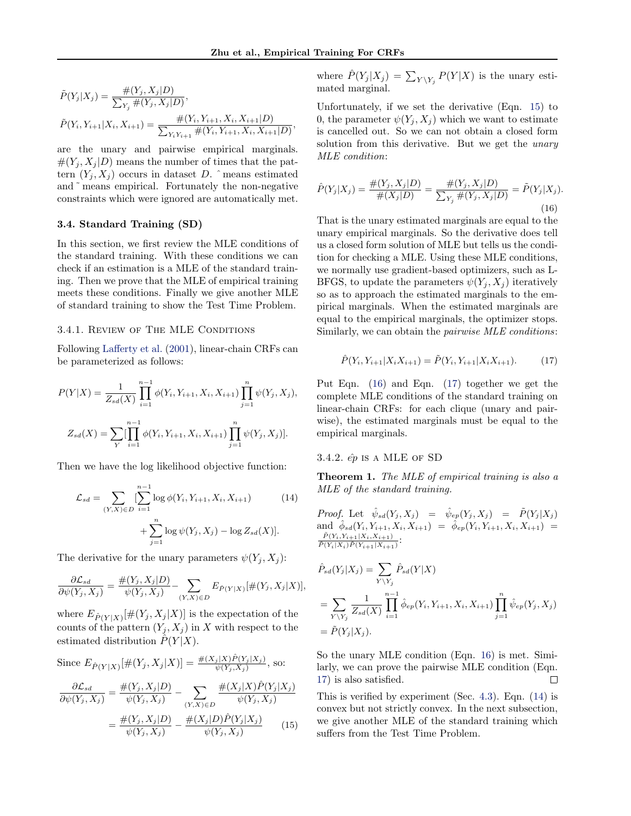<span id="page-3-0"></span>
$$
\tilde{P}(Y_j|X_j) = \frac{\#(Y_j, X_j|D)}{\sum_{Y_j} \#(Y_j, X_j|D)},
$$
\n
$$
\tilde{P}(Y_i, Y_{i+1}|X_i, X_{i+1}) = \frac{\#(Y_i, Y_{i+1}, X_i, X_{i+1}|D)}{\sum_{Y_i Y_{i+1}} \#(Y_i, Y_{i+1}, X_i, X_{i+1}|D)},
$$

are the unary and pairwise empirical marginals.  $\#(Y_i, X_j | D)$  means the number of times that the pattern  $(Y_j, X_j)$  occurs in dataset D.  $\hat{ }$  means estimated and ˜ means empirical. Fortunately the non-negative constraints which were ignored are automatically met.

## 3.4. Standard Training (SD)

In this section, we first review the MLE conditions of the standard training. With these conditions we can check if an estimation is a MLE of the standard training. Then we prove that the MLE of empirical training meets these conditions. Finally we give another MLE of standard training to show the Test Time Problem.

#### 3.4.1. Review of The MLE Conditions

Following [Lafferty et al.](#page-8-0) [\(2001\)](#page-8-0), linear-chain CRFs can be parameterized as follows:

$$
P(Y|X) = \frac{1}{Z_{sd}(X)} \prod_{i=1}^{n-1} \phi(Y_i, Y_{i+1}, X_i, X_{i+1}) \prod_{j=1}^{n} \psi(Y_j, X_j),
$$
  

$$
Z_{sd}(X) = \sum_{Y} \prod_{i=1}^{n-1} \phi(Y_i, Y_{i+1}, X_i, X_{i+1}) \prod_{j=1}^{n} \psi(Y_j, X_j).
$$

Then we have the log likelihood objective function:

$$
\mathcal{L}_{sd} = \sum_{(Y,X)\in D} \left[ \sum_{i=1}^{n-1} \log \phi(Y_i, Y_{i+1}, X_i, X_{i+1}) + \sum_{j=1}^{n} \log \psi(Y_j, X_j) - \log Z_{sd}(X) \right].
$$
\n(14)

The derivative for the unary parameters  $\psi(Y_i, X_i)$ :

$$
\frac{\partial \mathcal{L}_{sd}}{\partial \psi(Y_j, X_j)} = \frac{\#(Y_j, X_j|D)}{\psi(Y_j, X_j)} - \sum_{(Y, X) \in D} E_{\hat{P}(Y|X)}[\#(Y_j, X_j|X)],
$$

where  $E_{\hat{P}(Y|X)}[\#(Y_j, X_j|X)]$  is the expectation of the counts of the pattern  $(Y_i, X_j)$  in X with respect to the estimated distribution  $\tilde{P}(Y|X)$ .

Since 
$$
E_{\hat{P}(Y|X)}[\#(Y_j, X_j|X)] = \frac{\#(X_j|X)\hat{P}(Y_j|X_j)}{\psi(Y_j, X_j)}
$$
, so:  
\n
$$
\frac{\partial \mathcal{L}_{sd}}{\partial \psi(Y_j, X_j)} = \frac{\#(Y_j, X_j|D)}{\psi(Y_j, X_j)} - \sum_{(Y, X) \in D} \frac{\#(X_j|X)\hat{P}(Y_j|X_j)}{\psi(Y_j, X_j)}
$$
\n
$$
= \frac{\#(Y_j, X_j|D)}{\psi(Y_j, X_j)} - \frac{\#(X_j|D)\hat{P}(Y_j|X_j)}{\psi(Y_j, X_j)}
$$
(15)

where  $\hat{P}(Y_j | X_j) = \sum_{Y \setminus Y_j} P(Y | X)$  is the unary estimated marginal.

Unfortunately, if we set the derivative (Eqn. 15) to 0, the parameter  $\psi(Y_i, X_j)$  which we want to estimate is cancelled out. So we can not obtain a closed form solution from this derivative. But we get the *unary* MLE condition:

$$
\hat{P}(Y_j|X_j) = \frac{\#(Y_j, X_j|D)}{\#(X_j|D)} = \frac{\#(Y_j, X_j|D)}{\sum_{Y_j} \#(Y_j, X_j|D)} = \tilde{P}(Y_j|X_j).
$$
\n(16)

That is the unary estimated marginals are equal to the unary empirical marginals. So the derivative does tell us a closed form solution of MLE but tells us the condition for checking a MLE. Using these MLE conditions, we normally use gradient-based optimizers, such as L-BFGS, to update the parameters  $\psi(Y_i, X_j)$  iteratively so as to approach the estimated marginals to the empirical marginals. When the estimated marginals are equal to the empirical marginals, the optimizer stops. Similarly, we can obtain the pairwise MLE conditions:

$$
\hat{P}(Y_i, Y_{i+1}|X_iX_{i+1}) = \tilde{P}(Y_i, Y_{i+1}|X_iX_{i+1}).
$$
\n(17)

Put Eqn. (16) and Eqn. (17) together we get the complete MLE conditions of the standard training on linear-chain CRFs: for each clique (unary and pairwise), the estimated marginals must be equal to the empirical marginals.

### 3.4.2.  $\hat{ep}$  is a MLE of SD

Theorem 1. The MLE of empirical training is also a MLE of the standard training.

Proof. Let  $\hat{\psi}_{sd}(Y_j, X_j) = \hat{\psi}_{ep}(Y_j, X_j) = \tilde{P}(Y_j | X_j)$ and  $\hat{\phi}_{sd}(Y_i, Y_{i+1}, X_i, X_{i+1}) = \hat{\phi}_{ep}(Y_i, Y_{i+1}, X_i, X_{i+1}) =$  $\tilde{P}(Y_i,Y_{i+1}|X_i,X_{i+1})$  $\frac{P(Y_i,Y_{i+1}|X_i,X_{i+1})}{\tilde{P}(Y_i|X_i)\tilde{P}(Y_{i+1}|X_{i+1})}$ :

$$
\hat{P}_{sd}(Y_j|X_j) = \sum_{Y \backslash Y_j} \hat{P}_{sd}(Y|X) \n= \sum_{Y \backslash Y_j} \frac{1}{Z_{sd}(X)} \prod_{i=1}^{n-1} \hat{\phi}_{ep}(Y_i, Y_{i+1}, X_i, X_{i+1}) \prod_{j=1}^n \hat{\psi}_{ep}(Y_j, X_j) \n= \tilde{P}(Y_j|X_j).
$$

So the unary MLE condition (Eqn. 16) is met. Similarly, we can prove the pairwise MLE condition (Eqn. 17) is also satisfied.  $\Box$ 

This is verified by experiment (Sec. [4.3\)](#page-6-0). Eqn. (14) is convex but not strictly convex. In the next subsection, we give another MLE of the standard training which suffers from the Test Time Problem.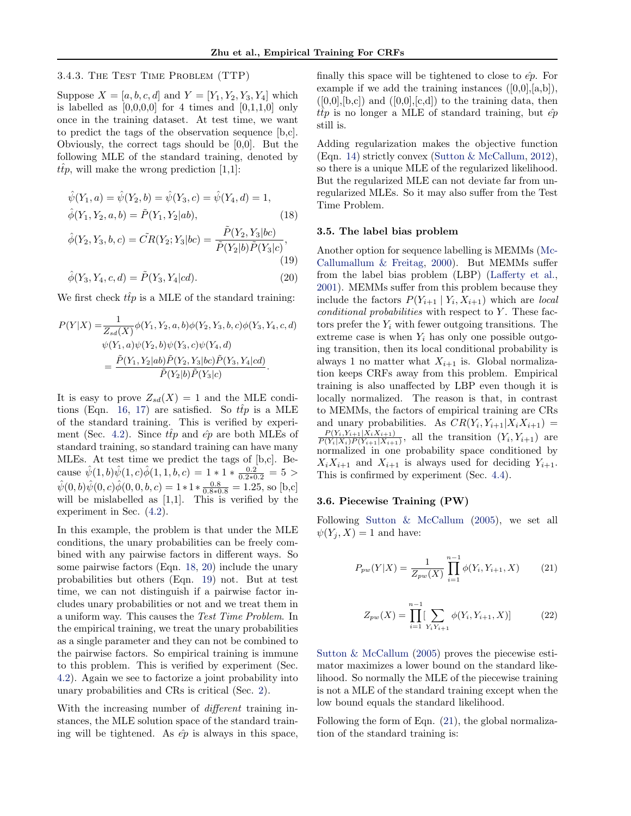#### <span id="page-4-0"></span>3.4.3. The Test Time Problem (TTP)

Suppose  $X = [a, b, c, d]$  and  $Y = [Y_1, Y_2, Y_3, Y_4]$  which is labelled as  $[0,0,0,0]$  for 4 times and  $[0,1,1,0]$  only once in the training dataset. At test time, we want to predict the tags of the observation sequence [b,c]. Obviously, the correct tags should be [0,0]. But the following MLE of the standard training, denoted by  $t\hat{t}p$ , will make the wrong prediction [1,1]:

$$
\hat{\psi}(Y_1, a) = \hat{\psi}(Y_2, b) = \hat{\psi}(Y_3, c) = \hat{\psi}(Y_4, d) = 1,\n\hat{\phi}(Y_1, Y_2, a, b) = \tilde{P}(Y_1, Y_2|ab),
$$
\n(18)

$$
\hat{\phi}(Y_2, Y_3, b, c) = \tilde{CR}(Y_2; Y_3|bc) = \frac{\tilde{P}(Y_2, Y_3|bc)}{\tilde{P}(Y_2|b)\tilde{P}(Y_3|c)},
$$
\n(19)

$$
\hat{\phi}(Y_3, Y_4, c, d) = \tilde{P}(Y_3, Y_4|cd). \tag{20}
$$

We first check  $\hat{tfp}$  is a MLE of the standard training:

$$
P(Y|X) = \frac{1}{Z_{sd}(X)} \phi(Y_1, Y_2, a, b) \phi(Y_2, Y_3, b, c) \phi(Y_3, Y_4, c, d)
$$
  

$$
\psi(Y_1, a) \psi(Y_2, b) \psi(Y_3, c) \psi(Y_4, d)
$$
  

$$
= \frac{\tilde{P}(Y_1, Y_2|ab)\tilde{P}(Y_2, Y_3|bc)\tilde{P}(Y_3, Y_4|cd)}{\tilde{P}(Y_2|b)\tilde{P}(Y_3|c)}.
$$

It is easy to prove  $Z_{sd}(X) = 1$  and the MLE condi-tions (Eqn. [16,](#page-3-0) [17\)](#page-3-0) are satisfied. So  $ttp$  is a MLE of the standard training. This is verified by experi-ment (Sec. [4.2\)](#page-6-0). Since  $\hat{tfp}$  and  $\hat{ep}$  are both MLEs of standard training, so standard training can have many MLEs. At test time we predict the tags of [b,c]. Because  $\hat{\psi}(1, b)\hat{\psi}(1, c)\hat{\phi}(1, 1, b, c) = 1 * 1 * \frac{0.2}{0.2 * 0.2} = 5 >$  $\hat{\psi}(0, b)\hat{\psi}(0, c)\hat{\phi}(0, 0, b, c) = 1 * 1 * \frac{0.8}{0.8 * 0.8} = 1.25$ , so [b,c] will be mislabelled as  $[1,1]$ . This is verified by the experiment in Sec. [\(4.2\)](#page-6-0).

In this example, the problem is that under the MLE conditions, the unary probabilities can be freely combined with any pairwise factors in different ways. So some pairwise factors (Eqn. 18, 20) include the unary probabilities but others (Eqn. 19) not. But at test time, we can not distinguish if a pairwise factor includes unary probabilities or not and we treat them in a uniform way. This causes the Test Time Problem. In the empirical training, we treat the unary probabilities as a single parameter and they can not be combined to the pairwise factors. So empirical training is immune to this problem. This is verified by experiment (Sec. [4.2\)](#page-6-0). Again we see to factorize a joint probability into unary probabilities and CRs is critical (Sec. [2\)](#page-1-0).

With the increasing number of *different* training instances, the MLE solution space of the standard training will be tightened. As  $\hat{ep}$  is always in this space, finally this space will be tightened to close to  $\hat{ep}$ . For example if we add the training instances  $([0,0],[a,b])$ ,  $([0,0],[b,c])$  and  $([0,0],[c,d])$  to the training data, then  $ttp$  is no longer a MLE of standard training, but  $\hat{ep}$ still is.

Adding regularization makes the objective function (Eqn. [14\)](#page-3-0) strictly convex [\(Sutton & McCallum,](#page-8-0) [2012\)](#page-8-0), so there is a unique MLE of the regularized likelihood. But the regularized MLE can not deviate far from unregularized MLEs. So it may also suffer from the Test Time Problem.

#### 3.5. The label bias problem

Another option for sequence labelling is MEMMs [\(Mc-](#page-8-0)[Callumallum & Freitag,](#page-8-0) [2000\)](#page-8-0). But MEMMs suffer from the label bias problem (LBP) [\(Lafferty et al.,](#page-8-0) [2001\)](#page-8-0). MEMMs suffer from this problem because they include the factors  $P(Y_{i+1} | Y_i, X_{i+1})$  which are local  $conditional probabilities$  with respect to  $Y$ . These factors prefer the  $Y_i$  with fewer outgoing transitions. The extreme case is when  $Y_i$  has only one possible outgoing transition, then its local conditional probability is always 1 no matter what  $X_{i+1}$  is. Global normalization keeps CRFs away from this problem. Empirical training is also unaffected by LBP even though it is locally normalized. The reason is that, in contrast to MEMMs, the factors of empirical training are CRs and unary probabilities. As  $CR(Y_i, Y_{i+1} | X_i X_{i+1}) =$  $P(Y_i, Y_{i+1} | X_i X_{i+1})$  $\frac{P(Y_i, Y_{i+1} | A_i A_{i+1})}{P(Y_i | X_i) P(Y_{i+1} | X_{i+1})}$ , all the transition  $(Y_i, Y_{i+1})$  are normalized in one probability space conditioned by  $X_i X_{i+1}$  and  $X_{i+1}$  is always used for deciding  $Y_{i+1}$ . This is confirmed by experiment (Sec. [4.4\)](#page-6-0).

#### 3.6. Piecewise Training (PW)

Following [Sutton & McCallum](#page-8-0) [\(2005\)](#page-8-0), we set all  $\psi(Y_i, X) = 1$  and have:

$$
P_{pw}(Y|X) = \frac{1}{Z_{pw}(X)} \prod_{i=1}^{n-1} \phi(Y_i, Y_{i+1}, X)
$$
 (21)

$$
Z_{pw}(X) = \prod_{i=1}^{n-1} \left[ \sum_{Y_i Y_{i+1}} \phi(Y_i, Y_{i+1}, X) \right]
$$
 (22)

[Sutton & McCallum](#page-8-0) [\(2005\)](#page-8-0) proves the piecewise estimator maximizes a lower bound on the standard likelihood. So normally the MLE of the piecewise training is not a MLE of the standard training except when the low bound equals the standard likelihood.

Following the form of Eqn. (21), the global normalization of the standard training is: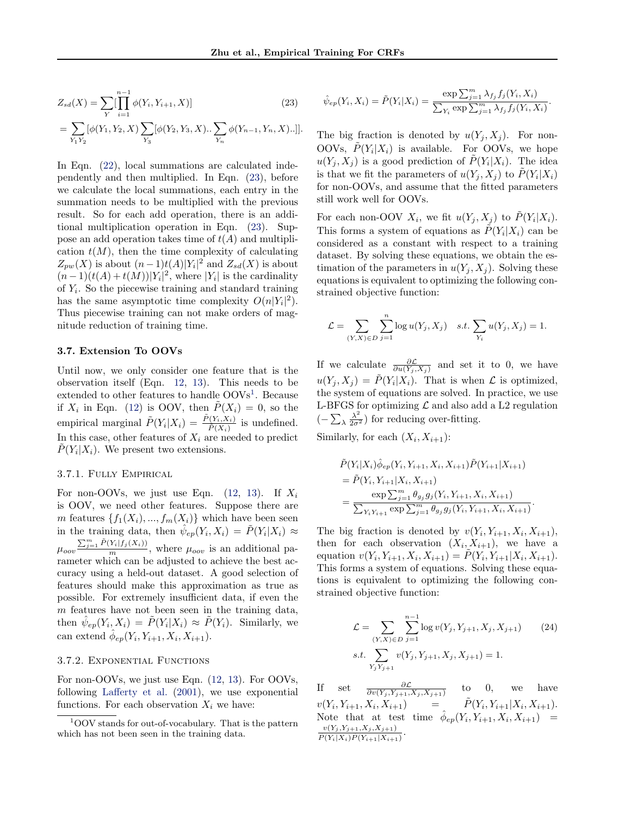<span id="page-5-0"></span>
$$
Z_{sd}(X) = \sum_{Y} \left[ \prod_{i=1}^{n-1} \phi(Y_i, Y_{i+1}, X) \right]
$$
(23)

$$
= \sum_{Y_1 Y_2} [\phi(Y_1, Y_2, X) \sum_{Y_3} [\phi(Y_2, Y_3, X) \dots \sum_{Y_n} \phi(Y_{n-1}, Y_n, X) \dots]].
$$
  
In Eqn. (22), local summations are calculated inde-

pendently and then multiplied. In Eqn. (23), before we calculate the local summations, each entry in the summation needs to be multiplied with the previous result. So for each add operation, there is an additional multiplication operation in Eqn. (23). Suppose an add operation takes time of  $t(A)$  and multiplication  $t(M)$ , then the time complexity of calculating  $Z_{pw}(X)$  is about  $(n-1)t(A)|Y_i|^2$  and  $Z_{sd}(X)$  is about  $(n-1)(t(A) + t(M))|Y_i|^2$ , where |Y<sub>i</sub>| is the cardinality of  $Y_i$ . So the piecewise training and standard training has the same asymptotic time complexity  $O(n|Y_i|^2)$ . Thus piecewise training can not make orders of magnitude reduction of training time.

#### 3.7. Extension To OOVs

Until now, we only consider one feature that is the observation itself (Eqn. [12,](#page-2-0) [13\)](#page-2-0). This needs to be extended to other features to handle OOVs<sup>1</sup>. Because if  $X_i$  in Eqn. [\(12\)](#page-2-0) is OOV, then  $\tilde{P}(X_i) = 0$ , so the empirical marginal  $\tilde{P}(Y_i|X_i) = \frac{\tilde{P}(Y_i, X_i)}{\tilde{P}(X_i)}$  is undefined. In this case, other features of  $X_i$  are needed to predict  $\tilde{P}(Y_i|X_i)$ . We present two extensions.

#### 3.7.1. Fully Empirical

For non-OOVs, we just use Eqn.  $(12, 13)$  $(12, 13)$  $(12, 13)$ . If  $X_i$ is OOV, we need other features. Suppose there are m features  $\{f_1(X_i),..., f_m(X_i)\}\$  which have been seen in the training data, then  $\hat{\psi}_{ep}(Y_i, X_i) = \tilde{P}(Y_i | X_i) \approx$  $\mu_{oov} \frac{\sum_{j=1}^{m} \tilde{P}(Y_i|f_j(X_i))}{m}$ , where  $\mu_{oov}$  is an additional parameter which can be adjusted to achieve the best accuracy using a held-out dataset. A good selection of features should make this approximation as true as possible. For extremely insufficient data, if even the  $m$  features have not been seen in the training data, then  $\hat{\psi}_{ep}(Y_i, X_i) = \tilde{P}(Y_i | X_i) \approx \tilde{P}(Y_i)$ . Similarly, we can extend  $\hat{\phi}_{ep}(Y_i, Y_{i+1}, X_i, X_{i+1}).$ 

#### 3.7.2. Exponential Functions

For non-OOVs, we just use Eqn. [\(12,](#page-2-0) [13\)](#page-2-0). For OOVs, following [Lafferty et al.](#page-8-0) [\(2001\)](#page-8-0), we use exponential functions. For each observation  $X_i$  we have:

$$
\hat{\psi}_{ep}(Y_i, X_i) = \tilde{P}(Y_i | X_i) = \frac{\exp \sum_{j=1}^m \lambda_{f_j} f_j(Y_i, X_i)}{\sum_{Y_i} \exp \sum_{j=1}^m \lambda_{f_j} f_j(Y_i, X_i)}.
$$

The big fraction is denoted by  $u(Y_i, X_j)$ . For non-OOVs,  $\tilde{P}(Y_i|X_i)$  is available. For OOVs, we hope  $u(Y_j, X_j)$  is a good prediction of  $\tilde{P}(Y_i | X_i)$ . The idea is that we fit the parameters of  $u(Y_j, X_j)$  to  $\tilde{P}(Y_i | X_i)$ for non-OOVs, and assume that the fitted parameters still work well for OOVs.

For each non-OOV  $X_i$ , we fit  $u(Y_j, X_j)$  to  $\tilde{P}(Y_i | X_i)$ . This forms a system of equations as  $\tilde{P}(Y_i|X_i)$  can be considered as a constant with respect to a training dataset. By solving these equations, we obtain the estimation of the parameters in  $u(Y_i, X_i)$ . Solving these equations is equivalent to optimizing the following constrained objective function:

$$
\mathcal{L} = \sum_{(Y,X) \in D} \sum_{j=1}^{n} \log u(Y_j, X_j) \quad s.t. \sum_{Y_i} u(Y_j, X_j) = 1.
$$

If we calculate  $\frac{\partial \mathcal{L}}{\partial u(Y_j, X_j)}$  and set it to 0, we have  $u(Y_j, X_j) = \tilde{P}(Y_i | X_i)$ . That is when  $\mathcal L$  is optimized, the system of equations are solved. In practice, we use L-BFGS for optimizing  $\mathcal L$  and also add a L2 regulation  $(-\sum_{\lambda}\frac{\lambda^2}{2\sigma^2})$  for reducing over-fitting.

Similarly, for each  $(X_i, X_{i+1})$ :

$$
\tilde{P}(Y_i|X_i)\hat{\phi}_{ep}(Y_i, Y_{i+1}, X_i, X_{i+1})\tilde{P}(Y_{i+1}|X_{i+1})
$$
\n
$$
= \tilde{P}(Y_i, Y_{i+1}|X_i, X_{i+1})
$$
\n
$$
= \frac{\exp \sum_{j=1}^m \theta_{g_j} g_j(Y_i, Y_{i+1}, X_i, X_{i+1})}{\sum_{Y_i Y_{i+1}} \exp \sum_{j=1}^m \theta_{g_j} g_j(Y_i, Y_{i+1}, X_i, X_{i+1})}
$$

.

The big fraction is denoted by  $v(Y_i, Y_{i+1}, X_i, X_{i+1}),$ then for each observation  $(X_i, X_{i+1})$ , we have a equation  $v(Y_i, Y_{i+1}, X_i, X_{i+1}) = \tilde{P}(Y_i, Y_{i+1}|X_i, X_{i+1}).$ This forms a system of equations. Solving these equations is equivalent to optimizing the following constrained objective function:

$$
\mathcal{L} = \sum_{(Y,X)\in D} \sum_{j=1}^{n-1} \log v(Y_j, Y_{j+1}, X_j, X_{j+1})
$$
 (24)  
s.t. 
$$
\sum_{Y_j Y_{j+1}} v(Y_j, Y_{j+1}, X_j, X_{j+1}) = 1.
$$

If set  $\frac{\partial \mathcal{L}}{\partial v(Y_j, Y_{j+1}, X_j, X_{j+1})}$ to 0, we have  $v(Y_i, Y_{i+1}, X_i, X_{i+1}) = \tilde{P}(Y_i$  $, Y_{i+1}|X_i, X_{i+1}).$ Note that at test time  $\hat{\phi}_{ep}(Y_i, Y_{i+1}, X_i, X_{i+1})$  =  $v(Y_j, Y_{j+1}, X_j, X_{j+1})$  $\overline{\tilde{P}(Y_i|X_i)\tilde{P}(Y_{i+1}|X_{i+1})}$ .

 $1$ OOV stands for out-of-vocabulary. That is the pattern which has not been seen in the training data.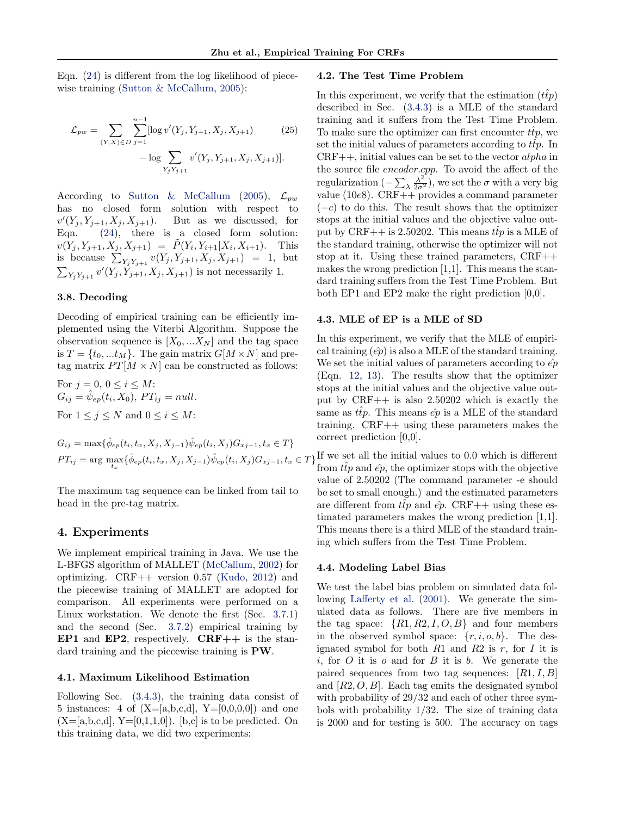<span id="page-6-0"></span>Eqn. [\(24\)](#page-5-0) is different from the log likelihood of piece-wise training [\(Sutton & McCallum,](#page-8-0) [2005\)](#page-8-0):

$$
\mathcal{L}_{pw} = \sum_{(Y,X)\in D} \sum_{j=1}^{n-1} [\log v'(Y_j, Y_{j+1}, X_j, X_{j+1}) \qquad (25)
$$

$$
- \log \sum_{Y_j Y_{j+1}} v'(Y_j, Y_{j+1}, X_j, X_{j+1})].
$$

According to [Sutton & McCallum](#page-8-0) [\(2005\)](#page-8-0),  $\mathcal{L}_{pw}$ has no closed form solution with respect to  $v'$ But as we discussed, for Eqn. [\(24\)](#page-5-0), there is a closed form solution:  $v(Y_j, Y_{j+1}, X_j, X_{j+1}) = \tilde{P}(Y_i, Y_{i+1}|X_i, X_{i+1}).$  This is because  $\sum_{Y_j Y_{j+1}} v(Y_j, Y_{j+1}, X_j, X_{j+1}) = 1$ , but  $\sum_{Y_j Y_{j+1}} v'(Y_j, Y_{j+1}, X_j, X_{j+1})$  is not necessarily 1.

## 3.8. Decoding

Decoding of empirical training can be efficiently implemented using the Viterbi Algorithm. Suppose the observation sequence is  $[X_0, ... X_N]$  and the tag space is  $T = \{t_0, ... t_M\}$ . The gain matrix  $G[M \times N]$  and pretag matrix  $PT[M \times N]$  can be constructed as follows:

For  $j = 0, 0 \leq i \leq M$ :  $G_{ij} = \hat{\psi}_{ep}(t_i, X_0), PT_{ij} = null.$ For  $1 \leq j \leq N$  and  $0 \leq i \leq M$ :

 $G_{ij} = \max{\{\hat{\phi}_{ep}(t_i, t_x, X_j, X_{j-1})\hat{\psi}_{ep}(t_i, X_j)G_{x,j-1}, t_x \in T\}}$ 

The maximum tag sequence can be linked from tail to head in the pre-tag matrix.

# 4. Experiments

We implement empirical training in Java. We use the L-BFGS algorithm of MALLET [\(McCallum,](#page-8-0) [2002\)](#page-8-0) for optimizing. CRF++ version 0.57 [\(Kudo,](#page-8-0) [2012\)](#page-8-0) and the piecewise training of MALLET are adopted for comparison. All experiments were performed on a Linux workstation. We denote the first (Sec. [3.7.1\)](#page-5-0) and the second (Sec. [3.7.2\)](#page-5-0) empirical training by EP1 and EP2, respectively.  $CRF++$  is the standard training and the piecewise training is PW.

## 4.1. Maximum Likelihood Estimation

Following Sec. [\(3.4.3\)](#page-4-0), the training data consist of 5 instances: 4 of  $(X=[a,b,c,d], Y=[0,0,0,0])$  and one  $(X=[a,b,c,d], Y=[0,1,1,0])$ . [b,c] is to be predicted. On this training data, we did two experiments:

## 4.2. The Test Time Problem

In this experiment, we verify that the estimation  $(t\hat{t}p)$ described in Sec. [\(3.4.3\)](#page-4-0) is a MLE of the standard training and it suffers from the Test Time Problem. To make sure the optimizer can first encounter  $\hat{tip}$ , we set the initial values of parameters according to  $t\bar{t}p$ . In  $CRF++$ , initial values can be set to the vector alpha in the source file encoder.cpp. To avoid the affect of the regularization ( $-\sum_{\lambda}\frac{\lambda^2}{2\sigma^2}$ ), we set the  $\sigma$  with a very big value (10e8). CRF++ provides a command parameter  $(-c)$  to do this. The result shows that the optimizer stops at the initial values and the objective value output by CRF++ is 2.50202. This means  $\hat{tip}$  is a MLE of the standard training, otherwise the optimizer will not stop at it. Using these trained parameters, CRF++ makes the wrong prediction [1,1]. This means the standard training suffers from the Test Time Problem. But both EP1 and EP2 make the right prediction [0,0].

#### 4.3. MLE of EP is a MLE of SD

In this experiment, we verify that the MLE of empirical training  $(\hat{ep})$  is also a MLE of the standard training. We set the initial values of parameters according to  $\hat{ep}$ (Eqn. [12,](#page-2-0) [13\)](#page-2-0). The results show that the optimizer stops at the initial values and the objective value output by CRF++ is also 2.50202 which is exactly the same as  $t\hat{t}p$ . This means  $\hat{ep}$  is a MLE of the standard training. CRF++ using these parameters makes the correct prediction [0,0].

 $PT_{ij} = \arg \max_{t_x} {\{\hat{\phi}_{ep}(t_i, t_x, X_j, X_{j-1})\hat{\psi}_{ep}(t_i, X_j)G_{xj-1}, t_x \in T\}}$  If we set all the initial values to 0.0 which is different from  $ttp$  and  $\hat{ep}$ , the optimizer stops with the objective value of 2.50202 (The command parameter -e should be set to small enough.) and the estimated parameters are different from  $t\hat{t}p$  and  $\hat{e}p$ . CRF++ using these estimated parameters makes the wrong prediction [1,1]. This means there is a third MLE of the standard training which suffers from the Test Time Problem.

#### 4.4. Modeling Label Bias

We test the label bias problem on simulated data following [Lafferty et al.](#page-8-0) [\(2001\)](#page-8-0). We generate the simulated data as follows. There are five members in the tag space:  $\{R1, R2, I, O, B\}$  and four members in the observed symbol space:  $\{r, i, o, b\}$ . The designated symbol for both  $R1$  and  $R2$  is r, for I it is i, for  $O$  it is  $o$  and for  $B$  it is  $b$ . We generate the paired sequences from two tag sequences:  $[R1, I, B]$ and  $[R2, O, B]$ . Each tag emits the designated symbol with probability of 29/32 and each of other three symbols with probability  $1/32$ . The size of training data is 2000 and for testing is 500. The accuracy on tags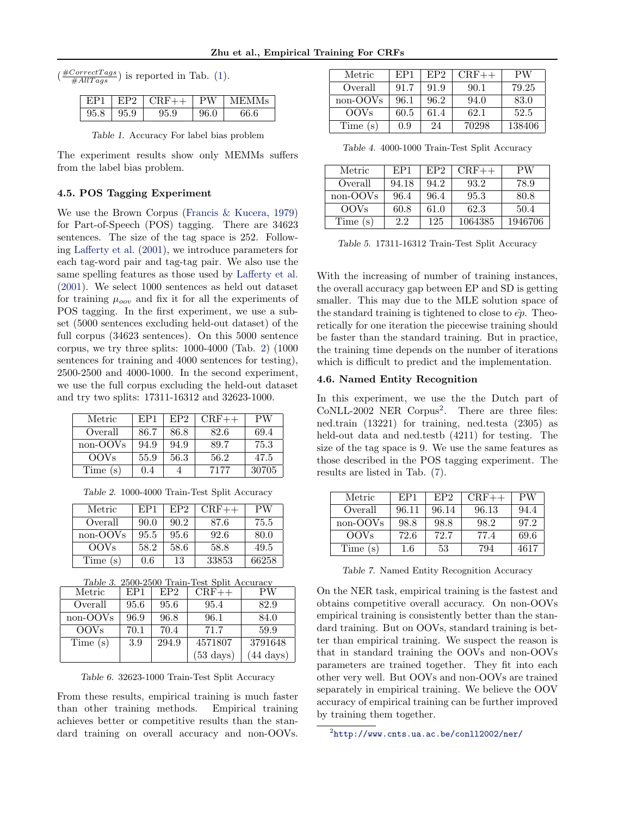<span id="page-7-0"></span>

|  | $\left(\frac{\text{\#CorrectTags}}{\text{\#AllTags}}\right)$ is reported in Tab. (1). |  |
|--|---------------------------------------------------------------------------------------|--|
|--|---------------------------------------------------------------------------------------|--|

| EP1  |      | $EP2$ CRF++ PW |      | MEMMs |
|------|------|----------------|------|-------|
| 95.8 | 95.9 | 95.9           | 96.0 | 66.6  |

Table 1. Accuracy For label bias problem

The experiment results show only MEMMs suffers from the label bias problem.

## 4.5. POS Tagging Experiment

We use the Brown Corpus [\(Francis & Kucera,](#page-8-0) [1979\)](#page-8-0) for Part-of-Speech (POS) tagging. There are 34623 sentences. The size of the tag space is 252. Following [Lafferty et al.](#page-8-0) [\(2001\)](#page-8-0), we introduce parameters for each tag-word pair and tag-tag pair. We also use the same spelling features as those used by [Lafferty et al.](#page-8-0) [\(2001\)](#page-8-0). We select 1000 sentences as held out dataset for training  $\mu_{oov}$  and fix it for all the experiments of POS tagging. In the first experiment, we use a subset (5000 sentences excluding held-out dataset) of the full corpus (34623 sentences). On this 5000 sentence corpus, we try three splits: 1000-4000 (Tab. 2) (1000 sentences for training and 4000 sentences for testing), 2500-2500 and 4000-1000. In the second experiment, we use the full corpus excluding the held-out dataset and try two splits: 17311-16312 and 32623-1000.

| Metric      | EP1  | EP <sub>2</sub> | $CRF++$ | PW    |
|-------------|------|-----------------|---------|-------|
| Overall     | 86.7 | 86.8            | 82.6    | 69.4  |
| non-OOVs    | 94.9 | 94.9            | 89.7    | 75.3  |
| <b>OOVs</b> | 55.9 | 56.3            | 56.2    | 47.5  |
| Time (s)    | 0.4  |                 | 7177    | 30705 |

Table 2. 1000-4000 Train-Test Split Accuracy

| Metric      | EP1  | EP <sub>2</sub> | $CRF++$ | PW    |
|-------------|------|-----------------|---------|-------|
| Overall     | 90.0 | 90.2            | 87.6    | 75.5  |
| non-OOVs    | 95.5 | 95.6            | 92.6    | 80.0  |
| <b>OOVs</b> | 58.2 | 58.6            | 58.8    | 49.5  |
| Time(s)     | 0.6  | 13              | 33853   | 66258 |

| Table 3. 2500-2500 Train-Test Split Accuracy |      |                 |         |         |  |  |
|----------------------------------------------|------|-----------------|---------|---------|--|--|
| Metric                                       | EP1  | EP <sub>2</sub> | $CRF++$ | РW      |  |  |
| Overall                                      | 95.6 | 95.6            | 95.4    | 82.9    |  |  |
| non-OOVs                                     | 96.9 | 96.8            | 96.1    | 84.0    |  |  |
| <b>OOVs</b>                                  | 70.1 | 70.4            | 71.7    | 59.9    |  |  |
| Time(s)                                      | 3.9  | 294.9           | 4571807 | 3791648 |  |  |

Table 6. 32623-1000 Train-Test Split Accuracy

 $(53 \text{ days})$   $(44 \text{ days})$ 

From these results, empirical training is much faster than other training methods. Empirical training achieves better or competitive results than the standard training on overall accuracy and non-OOVs.

| Metric           | EP1  | EP <sub>2</sub> | $CRF++$ | PW     |
|------------------|------|-----------------|---------|--------|
| Overall          | 91.7 | 91.9            | 90.1    | 79.25  |
| non-OOVs         | 96.1 | 96.2            | 94.0    | 83.0   |
| OOV <sub>s</sub> | 60.5 | 61.4            | 62.1    | 52.5   |
| Time(s)          | 0.9  | 24              | 70298   | 138406 |

Table 4. 4000-1000 Train-Test Split Accuracy

| Metric           | EP1   | EP <sub>2</sub> | $\rm CRF++$ | РW      |
|------------------|-------|-----------------|-------------|---------|
| Overall          | 94.18 | 94.2            | 93.2        | 78.9    |
| non-OOVs         | 96.4  | 96.4            | 95.3        | 80.8    |
| OOV <sub>s</sub> | 60.8  | 61.0            | 62.3        | 50.4    |
| Time(s)          | 2.2   | 125             | 1064385     | 1946706 |

Table 5. 17311-16312 Train-Test Split Accuracy

With the increasing of number of training instances, the overall accuracy gap between EP and SD is getting smaller. This may due to the MLE solution space of the standard training is tightened to close to  $\hat{ep}$ . Theoretically for one iteration the piecewise training should be faster than the standard training. But in practice, the training time depends on the number of iterations which is difficult to predict and the implementation.

## 4.6. Named Entity Recognition

In this experiment, we use the the Dutch part of CoNLL-2002 NER Corpus<sup>2</sup>. There are three files: ned.train (13221) for training, ned.testa (2305) as held-out data and ned.testb (4211) for testing. The size of the tag space is 9. We use the same features as those described in the POS tagging experiment. The results are listed in Tab. (7).

| Metric      | EP1   | EP <sub>2</sub> | $CRF++$ | РW   |
|-------------|-------|-----------------|---------|------|
| Overall     | 96.11 | 96.14           | 96.13   | 94.4 |
| non-OOVs    | 98.8  | 98.8            | 98.2    | 97.2 |
| <b>OOVs</b> | 72.6  | 72.7            | 77.4    | 69.6 |
| Time(s)     | 1.6   | 53              | 794     | 4617 |

Table 7. Named Entity Recognition Accuracy

On the NER task, empirical training is the fastest and obtains competitive overall accuracy. On non-OOVs empirical training is consistently better than the standard training. But on OOVs, standard training is better than empirical training. We suspect the reason is that in standard training the OOVs and non-OOVs parameters are trained together. They fit into each other very well. But OOVs and non-OOVs are trained separately in empirical training. We believe the OOV accuracy of empirical training can be further improved by training them together.

 $^2$ <http://www.cnts.ua.ac.be/conll2002/ner/>